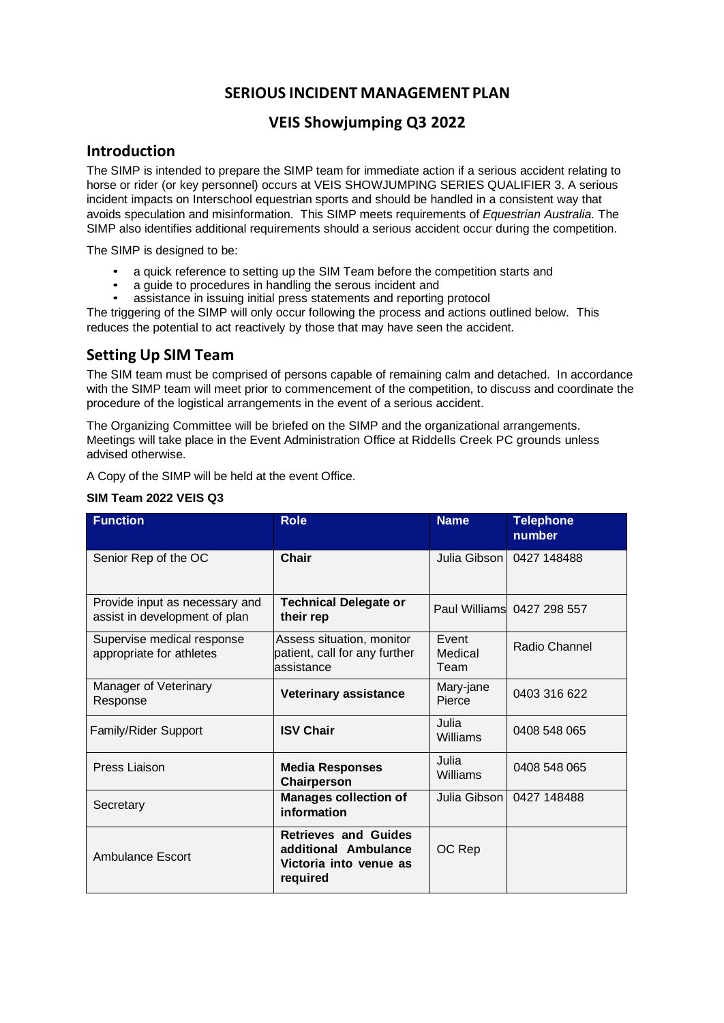# **SERIOUS INCIDENT MANAGEMENT PLAN**

## **VEIS Showjumping Q3 2022**

#### **Introduction**

The SIMP is intended to prepare the SIMP team for immediate action if a serious accident relating to horse or rider (or key personnel) occurs at VEIS SHOWJUMPING SERIES QUALIFIER 3. A serious incident impacts on Interschool equestrian sports and should be handled in a consistent way that avoids speculation and misinformation. This SIMP meets requirements of *Equestrian Australia.* The SIMP also identifies additional requirements should a serious accident occur during the competition.

The SIMP is designed to be:

- a quick reference to setting up the SIM Team before the competition starts and
- a guide to procedures in handling the serous incident and
- assistance in issuing initial press statements and reporting protocol

The triggering of the SIMP will only occur following the process and actions outlined below. This reduces the potential to act reactively by those that may have seen the accident.

## **Setting Up SIM Team**

The SIM team must be comprised of persons capable of remaining calm and detached. In accordance with the SIMP team will meet prior to commencement of the competition, to discuss and coordinate the procedure of the logistical arrangements in the event of a serious accident.

The Organizing Committee will be briefed on the SIMP and the organizational arrangements. Meetings will take place in the Event Administration Office at Riddells Creek PC grounds unless advised otherwise.

A Copy of the SIMP will be held at the event Office.

| <b>Function</b>                                                 | <b>Role</b>                                                                               | <b>Name</b>              | <b>Telephone</b><br>number |
|-----------------------------------------------------------------|-------------------------------------------------------------------------------------------|--------------------------|----------------------------|
| Senior Rep of the OC                                            | <b>Chair</b>                                                                              | Julia Gibson             | 0427 148488                |
| Provide input as necessary and<br>assist in development of plan | <b>Technical Delegate or</b><br>their rep                                                 |                          | Paul Williams 0427 298 557 |
| Supervise medical response<br>appropriate for athletes          | Assess situation, monitor<br>patient, call for any further<br>assistance                  | Event<br>Medical<br>Team | Radio Channel              |
| Manager of Veterinary<br>Response                               | <b>Veterinary assistance</b>                                                              | Mary-jane<br>Pierce      | 0403 316 622               |
| <b>Family/Rider Support</b>                                     | <b>ISV Chair</b>                                                                          | Julia<br>Williams        | 0408 548 065               |
| Press Liaison                                                   | <b>Media Responses</b><br>Chairperson                                                     | Julia<br>Williams        | 0408 548 065               |
| Secretary                                                       | <b>Manages collection of</b><br>information                                               | Julia Gibson             | 0427 148488                |
| Ambulance Escort                                                | <b>Retrieves and Guides</b><br>additional Ambulance<br>Victoria into venue as<br>required | OC Rep                   |                            |

#### **SIM Team 2022 VEIS Q3**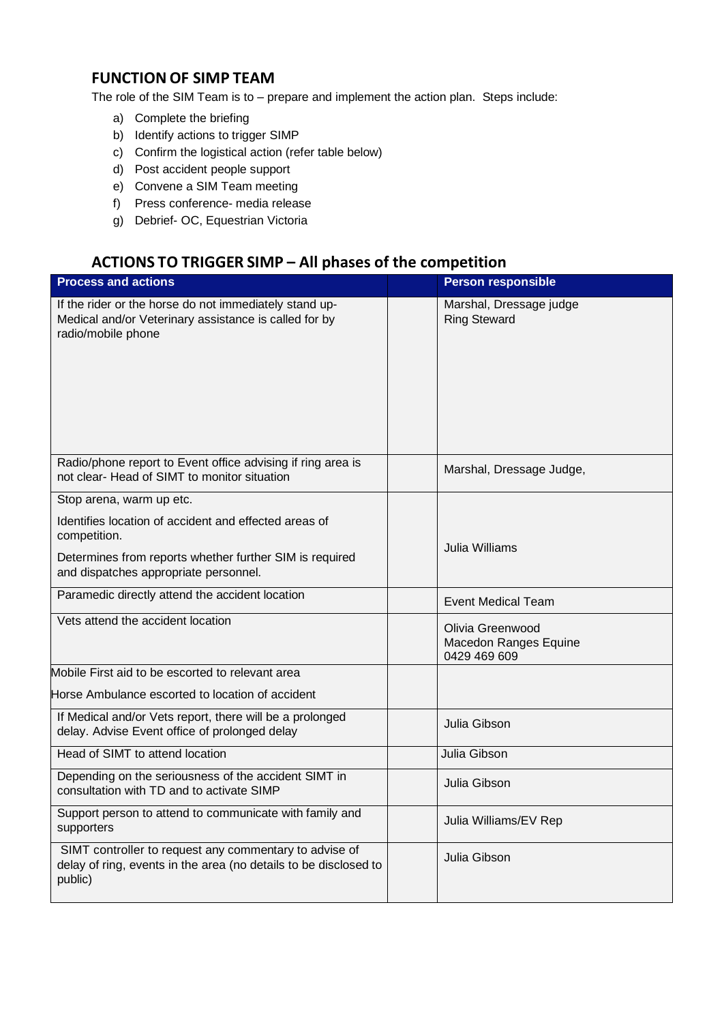# **FUNCTION OF SIMP TEAM**

The role of the SIM Team is to – prepare and implement the action plan. Steps include:

- a) Complete the briefing
- b) Identify actions to trigger SIMP
- c) Confirm the logistical action (refer table below)
- d) Post accident people support
- e) Convene a SIM Team meeting
- f) Press conference- media release
- g) Debrief- OC, Equestrian Victoria

# **ACTIONS TO TRIGGER SIMP – All phases of the competition**

| <b>Process and actions</b>                                                                                                                                                |  | <b>Person responsible</b>                                 |  |
|---------------------------------------------------------------------------------------------------------------------------------------------------------------------------|--|-----------------------------------------------------------|--|
| If the rider or the horse do not immediately stand up-<br>Medical and/or Veterinary assistance is called for by<br>radio/mobile phone                                     |  | Marshal, Dressage judge<br><b>Ring Steward</b>            |  |
| Radio/phone report to Event office advising if ring area is<br>not clear- Head of SIMT to monitor situation                                                               |  | Marshal, Dressage Judge,                                  |  |
| Stop arena, warm up etc.                                                                                                                                                  |  |                                                           |  |
| Identifies location of accident and effected areas of<br>competition.<br>Determines from reports whether further SIM is required<br>and dispatches appropriate personnel. |  | Julia Williams                                            |  |
|                                                                                                                                                                           |  |                                                           |  |
| Vets attend the accident location                                                                                                                                         |  | Olivia Greenwood<br>Macedon Ranges Equine<br>0429 469 609 |  |
| Mobile First aid to be escorted to relevant area                                                                                                                          |  |                                                           |  |
| Horse Ambulance escorted to location of accident                                                                                                                          |  |                                                           |  |
| If Medical and/or Vets report, there will be a prolonged<br>delay. Advise Event office of prolonged delay                                                                 |  | Julia Gibson                                              |  |
| Head of SIMT to attend location                                                                                                                                           |  | Julia Gibson                                              |  |
| Depending on the seriousness of the accident SIMT in<br>consultation with TD and to activate SIMP                                                                         |  | Julia Gibson                                              |  |
| Support person to attend to communicate with family and<br>supporters                                                                                                     |  | Julia Williams/EV Rep                                     |  |
| SIMT controller to request any commentary to advise of<br>delay of ring, events in the area (no details to be disclosed to<br>public)                                     |  | Julia Gibson                                              |  |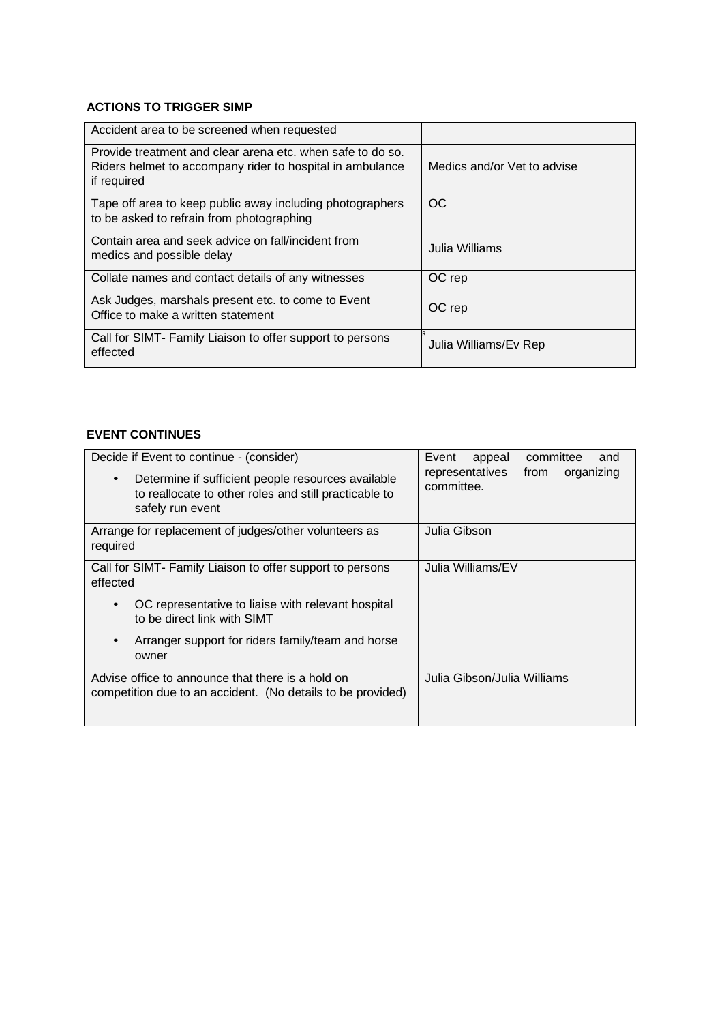#### **ACTIONS TO TRIGGER SIMP**

| Accident area to be screened when requested                                                                                            |                             |
|----------------------------------------------------------------------------------------------------------------------------------------|-----------------------------|
| Provide treatment and clear arena etc. when safe to do so.<br>Riders helmet to accompany rider to hospital in ambulance<br>if required | Medics and/or Vet to advise |
| Tape off area to keep public away including photographers<br>to be asked to refrain from photographing                                 | OC.                         |
| Contain area and seek advice on fall/incident from<br>medics and possible delay                                                        | Julia Williams              |
| Collate names and contact details of any witnesses                                                                                     | OC rep                      |
| Ask Judges, marshals present etc. to come to Event<br>Office to make a written statement                                               | OC rep                      |
| Call for SIMT- Family Liaison to offer support to persons<br>effected                                                                  | Julia Williams/Ev Rep       |

#### **EVENT CONTINUES**

| Decide if Event to continue - (consider)<br>Determine if sufficient people resources available<br>to reallocate to other roles and still practicable to<br>safely run event | committee<br>Event<br>appeal<br>and<br>representatives<br>organizing<br>from<br>committee. |
|-----------------------------------------------------------------------------------------------------------------------------------------------------------------------------|--------------------------------------------------------------------------------------------|
| Arrange for replacement of judges/other volunteers as<br>required                                                                                                           | Julia Gibson                                                                               |
| Call for SIMT- Family Liaison to offer support to persons<br>effected                                                                                                       | Julia Williams/EV                                                                          |
| OC representative to liaise with relevant hospital<br>to be direct link with SIMT                                                                                           |                                                                                            |
| Arranger support for riders family/team and horse<br>owner                                                                                                                  |                                                                                            |
| Advise office to announce that there is a hold on<br>competition due to an accident. (No details to be provided)                                                            | Julia Gibson/Julia Williams                                                                |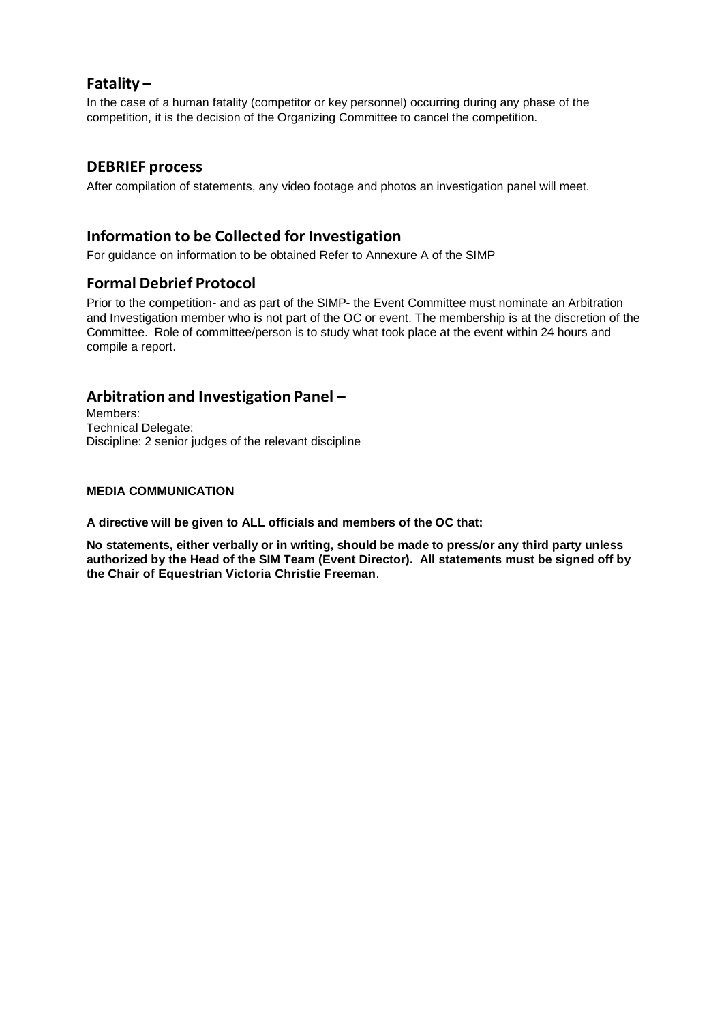#### **Fatality –**

In the case of a human fatality (competitor or key personnel) occurring during any phase of the competition, it is the decision of the Organizing Committee to cancel the competition.

#### **DEBRIEF process**

After compilation of statements, any video footage and photos an investigation panel will meet.

### **Information to be Collected for Investigation**

For guidance on information to be obtained Refer to Annexure A of the SIMP

## **Formal Debrief Protocol**

Prior to the competition- and as part of the SIMP- the Event Committee must nominate an Arbitration and Investigation member who is not part of the OC or event. The membership is at the discretion of the Committee. Role of committee/person is to study what took place at the event within 24 hours and compile a report.

#### **Arbitration and Investigation Panel –**

Members: Technical Delegate: Discipline: 2 senior judges of the relevant discipline

#### **MEDIA COMMUNICATION**

**A directive will be given to ALL officials and members of the OC that:**

**No statements, either verbally or in writing, should be made to press/or any third party unless authorized by the Head of the SIM Team (Event Director). All statements must be signed off by the Chair of Equestrian Victoria Christie Freeman**.